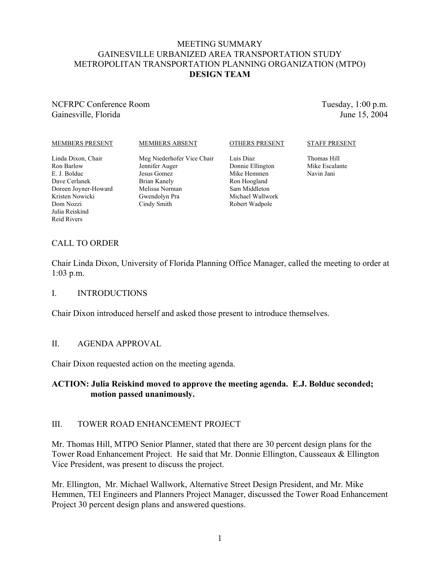## MEETING SUMMARY GAINESVILLE URBANIZED AREA TRANSPORTATION STUDY METROPOLITAN TRANSPORTATION PLANNING ORGANIZATION (MTPO) **DESIGN TEAM**

# NCFRPC Conference Room Gainesville, Florida

Tuesday, 1:00 p.m. June 15, 2004

#### MEMBERS PRESENT

#### MEMBERS ABSENT

#### OTHERS PRESENT

#### Linda Dixon, Chair Ron Barlow E. J. Bolduc Dave Cerlanek Doreen Joyner-Howard Kristen Nowicki Dom Nozzi Julia Reiskind Reid Rivers

Meg Niederhofer Vice Chair Jennifer Auger Jesus Gomez Brian Kanely Melissa Norman Gwendolyn Pra Cindy Smith

Luis Diaz Donnie Ellington Mike Hemmen Ron Hoogland Sam Middleton Michael Wallwork Robert Wadpole

#### STAFF PRESENT

Thomas Hill Mike Escalante Navin Jani

# CALL TO ORDER

Chair Linda Dixon, University of Florida Planning Office Manager, called the meeting to order at 1:03 p.m.

### I. INTRODUCTIONS

Chair Dixon introduced herself and asked those present to introduce themselves.

### II. AGENDA APPROVAL

Chair Dixon requested action on the meeting agenda.

## **ACTION: Julia Reiskind moved to approve the meeting agenda. E.J. Bolduc seconded; motion passed unanimously.**

### III. TOWER ROAD ENHANCEMENT PROJECT

Mr. Thomas Hill, MTPO Senior Planner, stated that there are 30 percent design plans for the Tower Road Enhancement Project. He said that Mr. Donnie Ellington, Causseaux & Ellington Vice President, was present to discuss the project.

Mr. Ellington, Mr. Michael Wallwork, Alternative Street Design President, and Mr. Mike Hemmen, TEI Engineers and Planners Project Manager, discussed the Tower Road Enhancement Project 30 percent design plans and answered questions.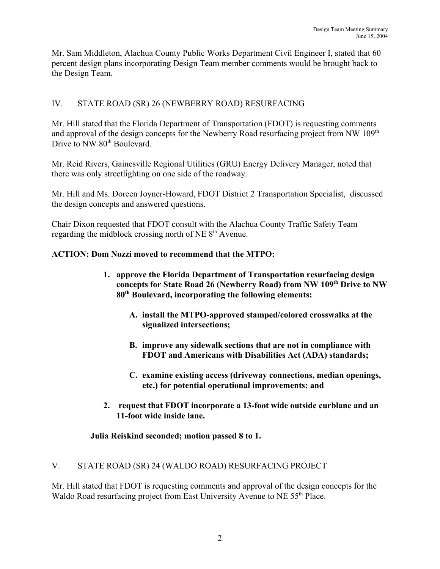Mr. Sam Middleton, Alachua County Public Works Department Civil Engineer I, stated that 60 percent design plans incorporating Design Team member comments would be brought back to the Design Team.

# IV. STATE ROAD (SR) 26 (NEWBERRY ROAD) RESURFACING

Mr. Hill stated that the Florida Department of Transportation (FDOT) is requesting comments and approval of the design concepts for the Newberry Road resurfacing project from NW 109<sup>th</sup> Drive to NW 80<sup>th</sup> Boulevard

Mr. Reid Rivers, Gainesville Regional Utilities (GRU) Energy Delivery Manager, noted that there was only streetlighting on one side of the roadway.

Mr. Hill and Ms. Doreen Joyner-Howard, FDOT District 2 Transportation Specialist, discussed the design concepts and answered questions.

Chair Dixon requested that FDOT consult with the Alachua County Traffic Safety Team regarding the midblock crossing north of NE 8<sup>th</sup> Avenue.

# **ACTION: Dom Nozzi moved to recommend that the MTPO:**

- **1. approve the Florida Department of Transportation resurfacing design concepts for State Road 26 (Newberry Road) from NW 109th Drive to NW 80th Boulevard, incorporating the following elements:**
	- **A. install the MTPO-approved stamped/colored crosswalks at the signalized intersections;**
	- **B. improve any sidewalk sections that are not in compliance with FDOT and Americans with Disabilities Act (ADA) standards;**
	- **C. examine existing access (driveway connections, median openings, etc.) for potential operational improvements; and**
- **2. request that FDOT incorporate a 13-foot wide outside curblane and an 11-foot wide inside lane.**

# **Julia Reiskind seconded; motion passed 8 to 1.**

# V. STATE ROAD (SR) 24 (WALDO ROAD) RESURFACING PROJECT

Mr. Hill stated that FDOT is requesting comments and approval of the design concepts for the Waldo Road resurfacing project from East University Avenue to NE 55<sup>th</sup> Place.